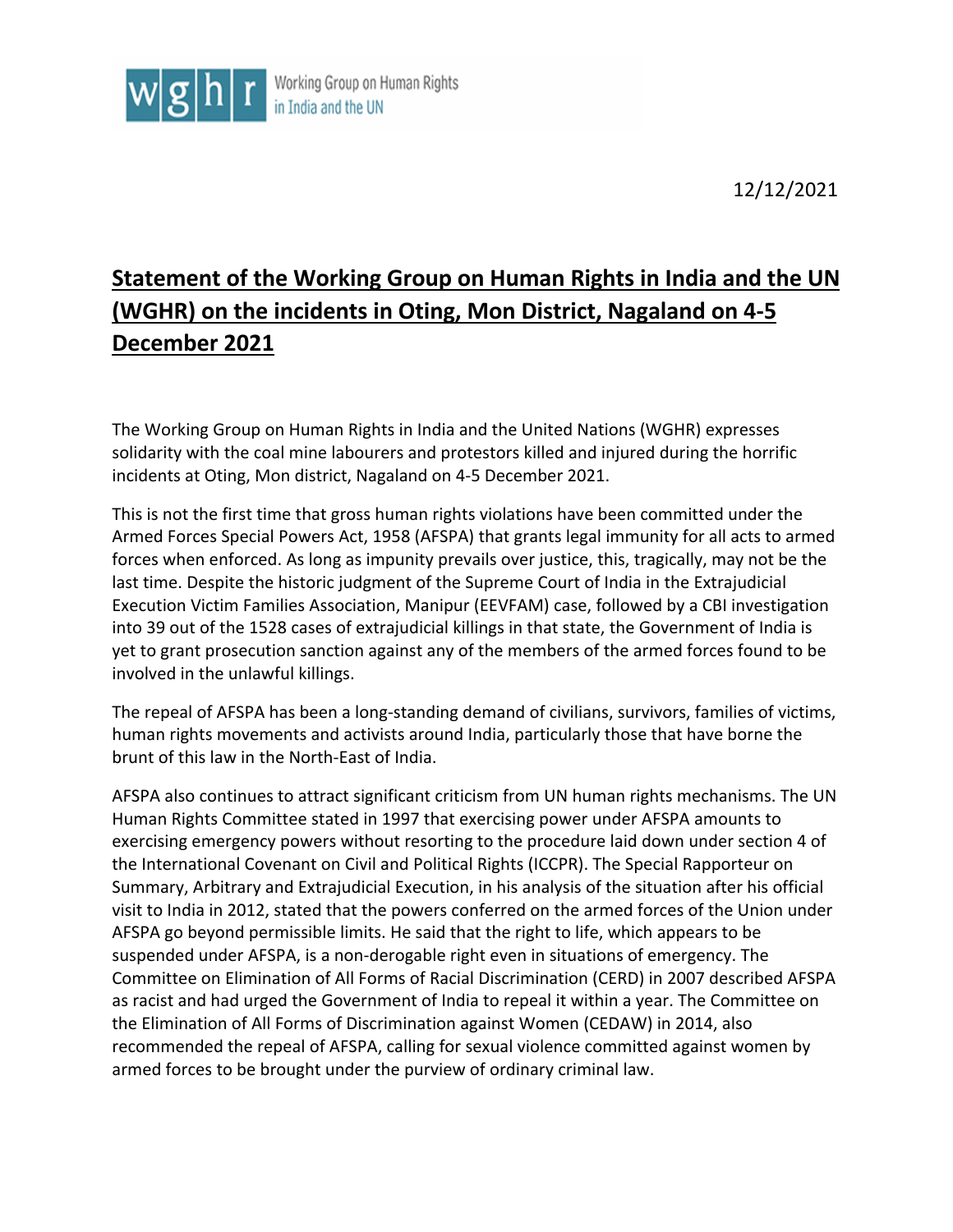

12/12/2021

## **Statement of the Working Group on Human Rights in India and the UN (WGHR) on the incidents in Oting, Mon District, Nagaland on 4-5 December 2021**

The Working Group on Human Rights in India and the United Nations (WGHR) expresses solidarity with the coal mine labourers and protestors killed and injured during the horrific incidents at Oting, Mon district, Nagaland on 4-5 December 2021.

This is not the first time that gross human rights violations have been committed under the Armed Forces Special Powers Act, 1958 (AFSPA) that grants legal immunity for all acts to armed forces when enforced. As long as impunity prevails over justice, this, tragically, may not be the last time. Despite the historic judgment of the Supreme Court of India in the Extrajudicial Execution Victim Families Association, Manipur (EEVFAM) case, followed by a CBI investigation into 39 out of the 1528 cases of extrajudicial killings in that state, the Government of India is yet to grant prosecution sanction against any of the members of the armed forces found to be involved in the unlawful killings.

The repeal of AFSPA has been a long-standing demand of civilians, survivors, families of victims, human rights movements and activists around India, particularly those that have borne the brunt of this law in the North-East of India.

AFSPA also continues to attract significant criticism from UN human rights mechanisms. The UN Human Rights Committee stated in 1997 that exercising power under AFSPA amounts to exercising emergency powers without resorting to the procedure laid down under section 4 of the International Covenant on Civil and Political Rights (ICCPR). The Special Rapporteur on Summary, Arbitrary and Extrajudicial Execution, in his analysis of the situation after his official visit to India in 2012, stated that the powers conferred on the armed forces of the Union under AFSPA go beyond permissible limits. He said that the right to life, which appears to be suspended under AFSPA, is a non-derogable right even in situations of emergency. The Committee on Elimination of All Forms of Racial Discrimination (CERD) in 2007 described AFSPA as racist and had urged the Government of India to repeal it within a year. The Committee on the Elimination of All Forms of Discrimination against Women (CEDAW) in 2014, also recommended the repeal of AFSPA, calling for sexual violence committed against women by armed forces to be brought under the purview of ordinary criminal law.